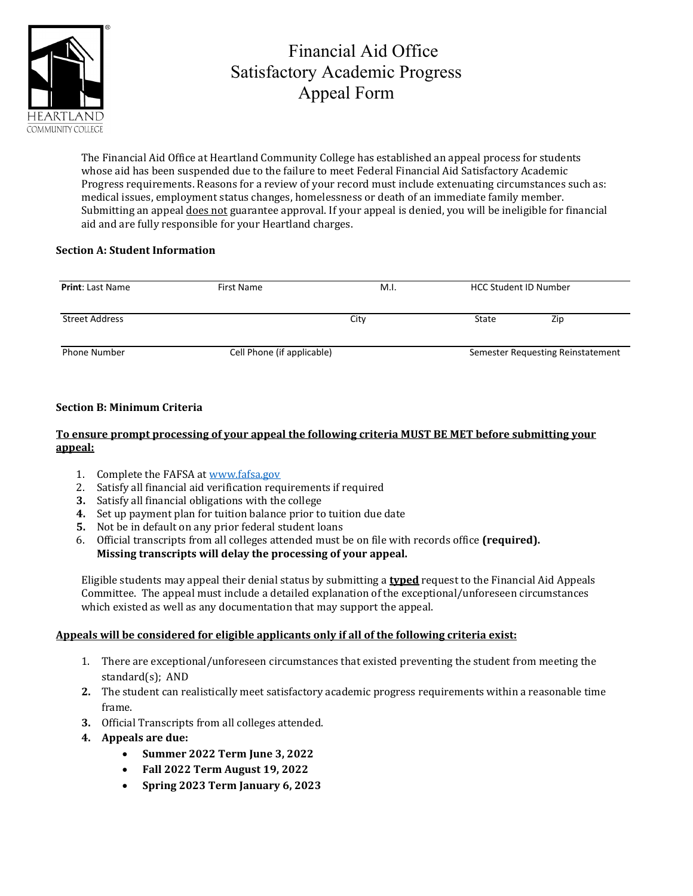

## Financial Aid Office Satisfactory Academic Progress Appeal Form

The Financial Aid Office at Heartland Community College has established an appeal process for students whose aid has been suspended due to the failure to meet Federal Financial Aid Satisfactory Academic Progress requirements. Reasons for a review of your record must include extenuating circumstances such as: medical issues, employment status changes, homelessness or death of an immediate family member. Submitting an appeal does not guarantee approval. If your appeal is denied, you will be ineligible for financial aid and are fully responsible for your Heartland charges.

## **Section A: Student Information**

| <b>Print: Last Name</b> | First Name                 | M.I. | <b>HCC Student ID Number</b>      |     |
|-------------------------|----------------------------|------|-----------------------------------|-----|
| Street Address          |                            | City | State                             | Zip |
| <b>Phone Number</b>     | Cell Phone (if applicable) |      | Semester Requesting Reinstatement |     |

## **Section B: Minimum Criteria**

## **To ensure prompt processing of your appeal the following criteria MUST BE MET before submitting your appeal:**

- 1. Complete the FAFSA at [www.fafsa.gov](http://www.fafsa.gov/)
- 2. Satisfy all financial aid verification requirements if required
- **3.** Satisfy all financial obligations with the college
- **4.** Set up payment plan for tuition balance prior to tuition due date
- **5.** Not be in default on any prior federal student loans
- 6. Official transcripts from all colleges attended must be on file with records office **(required). Missing transcripts will delay the processing of your appeal.**

Eligible students may appeal their denial status by submitting a **typed** request to the Financial Aid Appeals Committee. The appeal must include a detailed explanation of the exceptional/unforeseen circumstances which existed as well as any documentation that may support the appeal.

## **Appeals will be considered for eligible applicants only if all of the following criteria exist:**

- 1. There are exceptional/unforeseen circumstances that existed preventing the student from meeting the standard(s); AND
- **2.** The student can realistically meet satisfactory academic progress requirements within a reasonable time frame.
- **3.** Official Transcripts from all colleges attended.
- **4. Appeals are due:**
	- **Summer 2022 Term June 3, 2022**
	- **Fall 2022 Term August 19, 2022**
	- **Spring 2023 Term January 6, 2023**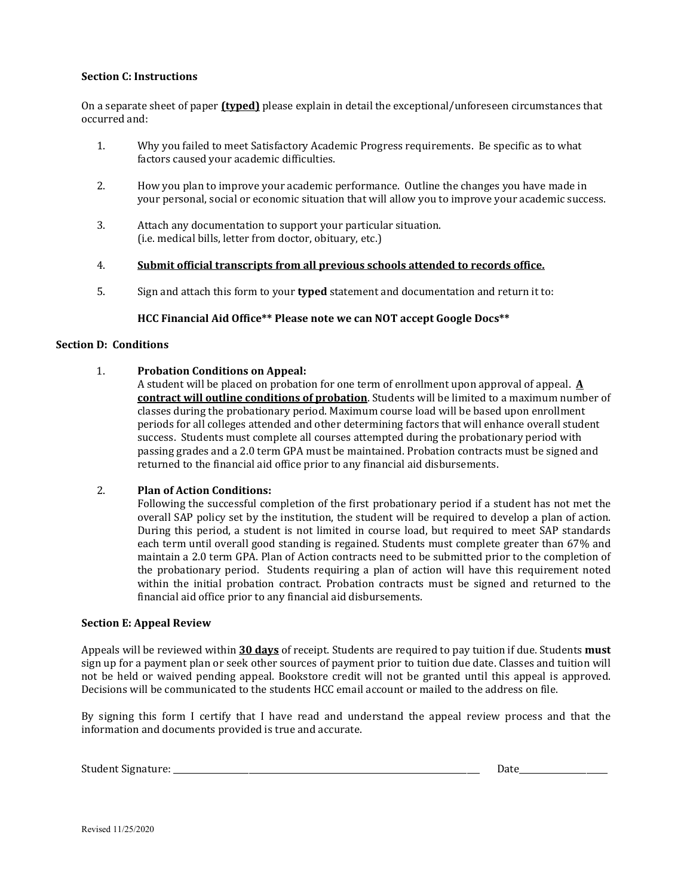#### **Section C: Instructions**

On a separate sheet of paper **(typed)** please explain in detail the exceptional/unforeseen circumstances that occurred and:

- 1. Why you failed to meet Satisfactory Academic Progress requirements. Be specific as to what factors caused your academic difficulties.
- 2. How you plan to improve your academic performance. Outline the changes you have made in your personal, social or economic situation that will allow you to improve your academic success.
- 3. Attach any documentation to support your particular situation. (i.e. medical bills, letter from doctor, obituary, etc.)
- 4. **Submit official transcripts from all previous schools attended to records office.**
- 5. Sign and attach this form to your **typed** statement and documentation and return it to:

#### **HCC Financial Aid Office\*\* Please note we can NOT accept Google Docs\*\***

#### **Section D: Conditions**

#### 1. **Probation Conditions on Appeal:**

A student will be placed on probation for one term of enrollment upon approval of appeal. **A contract will outline conditions of probation**. Students will be limited to a maximum number of classes during the probationary period. Maximum course load will be based upon enrollment periods for all colleges attended and other determining factors that will enhance overall student success. Students must complete all courses attempted during the probationary period with passing grades and a 2.0 term GPA must be maintained. Probation contracts must be signed and returned to the financial aid office prior to any financial aid disbursements.

## 2. **Plan of Action Conditions:**

Following the successful completion of the first probationary period if a student has not met the overall SAP policy set by the institution, the student will be required to develop a plan of action. During this period, a student is not limited in course load, but required to meet SAP standards each term until overall good standing is regained. Students must complete greater than 67% and maintain a 2.0 term GPA. Plan of Action contracts need to be submitted prior to the completion of the probationary period. Students requiring a plan of action will have this requirement noted within the initial probation contract. Probation contracts must be signed and returned to the financial aid office prior to any financial aid disbursements.

#### **Section E: Appeal Review**

Appeals will be reviewed within **30 days** of receipt. Students are required to pay tuition if due. Students **must** sign up for a payment plan or seek other sources of payment prior to tuition due date. Classes and tuition will not be held or waived pending appeal. Bookstore credit will not be granted until this appeal is approved. Decisions will be communicated to the students HCC email account or mailed to the address on file.

By signing this form I certify that I have read and understand the appeal review process and that the information and documents provided is true and accurate.

| Student<br>$\cdots$ |  | - |  |
|---------------------|--|---|--|
|---------------------|--|---|--|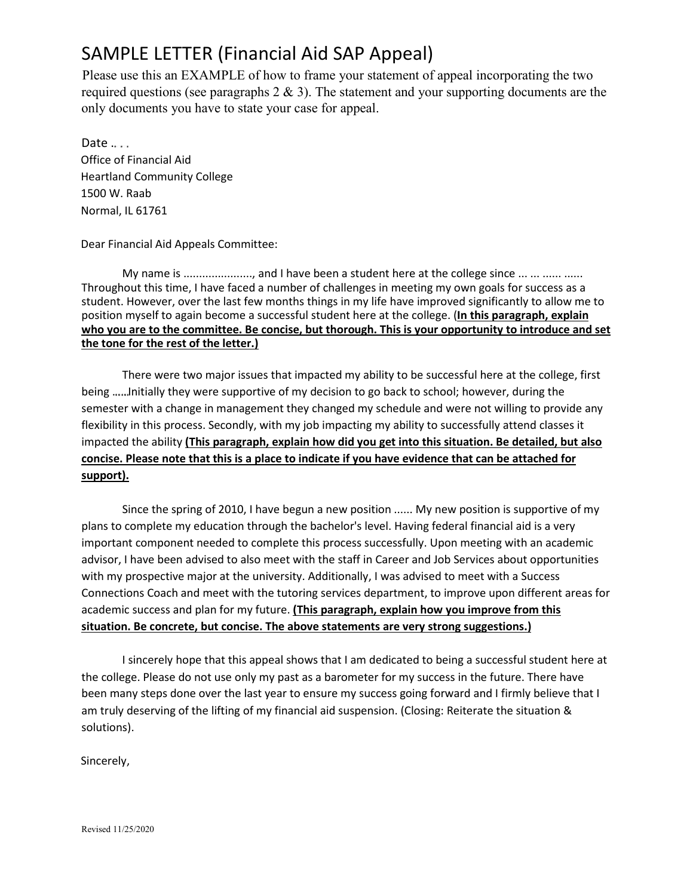# SAMPLE LETTER (Financial Aid SAP Appeal)

Please use this an EXAMPLE of how to frame your statement of appeal incorporating the two required questions (see paragraphs  $2 \& 3$ ). The statement and your supporting documents are the only documents you have to state your case for appeal.

Date  $\dots$ Office of Financial Aid Heartland Community College 1500 W. Raab Normal, IL 61761

## Dear Financial Aid Appeals Committee:

My name is ...................., and I have been a student here at the college since ... ... ...... ...... Throughout this time, I have faced a number of challenges in meeting my own goals for success as a student. However, over the last few months things in my life have improved significantly to allow me to position myself to again become a successful student here at the college. (**In this paragraph, explain who you are to the committee. Be concise, but thorough. This is your opportunity to introduce and set the tone for the rest of the letter.)**

 There were two major issues that impacted my ability to be successful here at the college, first being ...... Initially they were supportive of my decision to go back to school; however, during the semester with a change in management they changed my schedule and were not willing to provide any flexibility in this process. Secondly, with my job impacting my ability to successfully attend classes it impacted the ability **(This paragraph, explain how did you get into this situation. Be detailed, but also concise. Please note that this is a place to indicate if you have evidence that can be attached for support).**

 Since the spring of 2010, I have begun a new position ...... My new position is supportive of my plans to complete my education through the bachelor's level. Having federal financial aid is a very important component needed to complete this process successfully. Upon meeting with an academic advisor, I have been advised to also meet with the staff in Career and Job Services about opportunities with my prospective major at the university. Additionally, I was advised to meet with a Success Connections Coach and meet with the tutoring services department, to improve upon different areas for academic success and plan for my future. **(This paragraph, explain how you improve from this situation. Be concrete, but concise. The above statements are very strong suggestions.)**

 I sincerely hope that this appeal shows that I am dedicated to being a successful student here at the college. Please do not use only my past as a barometer for my success in the future. There have been many steps done over the last year to ensure my success going forward and I firmly believe that I am truly deserving of the lifting of my financial aid suspension. (Closing: Reiterate the situation & solutions).

Sincerely,